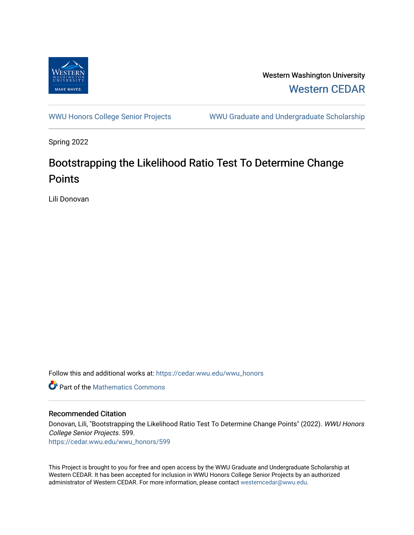

Western Washington University [Western CEDAR](https://cedar.wwu.edu/) 

[WWU Honors College Senior Projects](https://cedar.wwu.edu/wwu_honors) WWU Graduate and Undergraduate Scholarship

Spring 2022

# Bootstrapping the Likelihood Ratio Test To Determine Change **Points**

Lili Donovan

Follow this and additional works at: [https://cedar.wwu.edu/wwu\\_honors](https://cedar.wwu.edu/wwu_honors?utm_source=cedar.wwu.edu%2Fwwu_honors%2F599&utm_medium=PDF&utm_campaign=PDFCoverPages) 

**C** Part of the [Mathematics Commons](https://network.bepress.com/hgg/discipline/174?utm_source=cedar.wwu.edu%2Fwwu_honors%2F599&utm_medium=PDF&utm_campaign=PDFCoverPages)

#### Recommended Citation

Donovan, Lili, "Bootstrapping the Likelihood Ratio Test To Determine Change Points" (2022). WWU Honors College Senior Projects. 599.

[https://cedar.wwu.edu/wwu\\_honors/599](https://cedar.wwu.edu/wwu_honors/599?utm_source=cedar.wwu.edu%2Fwwu_honors%2F599&utm_medium=PDF&utm_campaign=PDFCoverPages)

This Project is brought to you for free and open access by the WWU Graduate and Undergraduate Scholarship at Western CEDAR. It has been accepted for inclusion in WWU Honors College Senior Projects by an authorized administrator of Western CEDAR. For more information, please contact [westerncedar@wwu.edu](mailto:westerncedar@wwu.edu).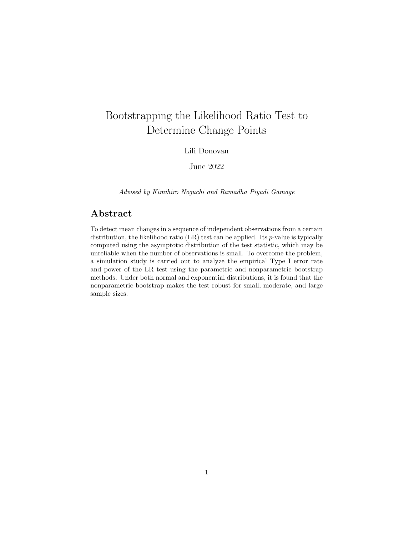# Bootstrapping the Likelihood Ratio Test to Determine Change Points

#### Lili Donovan

June 2022

Advised by Kimihiro Noguchi and Ramadha Piyadi Gamage

## Abstract

To detect mean changes in a sequence of independent observations from a certain distribution, the likelihood ratio  $(LR)$  test can be applied. Its p-value is typically computed using the asymptotic distribution of the test statistic, which may be unreliable when the number of observations is small. To overcome the problem, a simulation study is carried out to analyze the empirical Type I error rate and power of the LR test using the parametric and nonparametric bootstrap methods. Under both normal and exponential distributions, it is found that the nonparametric bootstrap makes the test robust for small, moderate, and large sample sizes.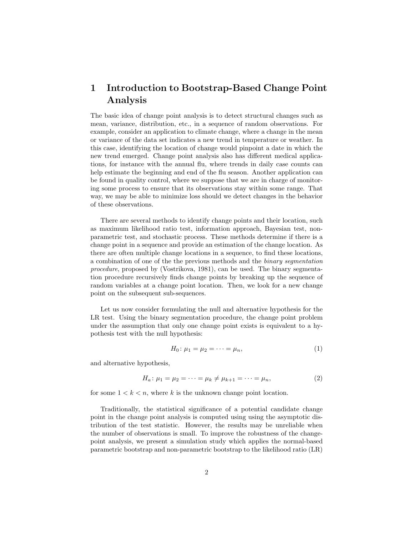# 1 Introduction to Bootstrap-Based Change Point Analysis

The basic idea of change point analysis is to detect structural changes such as mean, variance, distribution, etc., in a sequence of random observations. For example, consider an application to climate change, where a change in the mean or variance of the data set indicates a new trend in temperature or weather. In this case, identifying the location of change would pinpoint a date in which the new trend emerged. Change point analysis also has different medical applications, for instance with the annual flu, where trends in daily case counts can help estimate the beginning and end of the flu season. Another application can be found in quality control, where we suppose that we are in charge of monitoring some process to ensure that its observations stay within some range. That way, we may be able to minimize loss should we detect changes in the behavior of these observations.

There are several methods to identify change points and their location, such as maximum likelihood ratio test, information approach, Bayesian test, nonparametric test, and stochastic process. These methods determine if there is a change point in a sequence and provide an estimation of the change location. As there are often multiple change locations in a sequence, to find these locations, a combination of one of the the previous methods and the binary segmentation procedure, proposed by (Vostrikova, 1981), can be used. The binary segmentation procedure recursively finds change points by breaking up the sequence of random variables at a change point location. Then, we look for a new change point on the subsequent sub-sequences.

Let us now consider formulating the null and alternative hypothesis for the LR test. Using the binary segmentation procedure, the change point problem under the assumption that only one change point exists is equivalent to a hypothesis test with the null hypothesis:

$$
H_0: \mu_1 = \mu_2 = \dots = \mu_n,\tag{1}
$$

and alternative hypothesis,

$$
H_a: \mu_1 = \mu_2 = \dots = \mu_k \neq \mu_{k+1} = \dots = \mu_n,\tag{2}
$$

for some  $1 < k < n$ , where k is the unknown change point location.

Traditionally, the statistical significance of a potential candidate change point in the change point analysis is computed using using the asymptotic distribution of the test statistic. However, the results may be unreliable when the number of observations is small. To improve the robustness of the changepoint analysis, we present a simulation study which applies the normal-based parametric bootstrap and non-parametric bootstrap to the likelihood ratio (LR)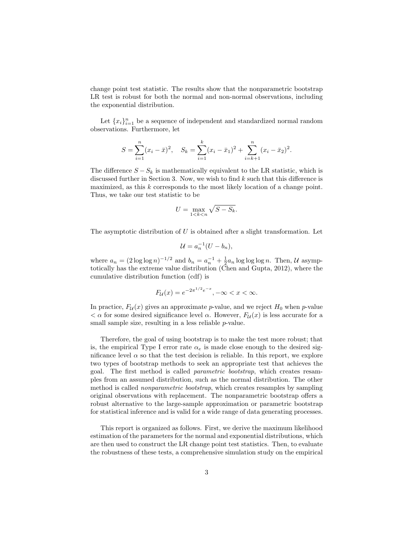change point test statistic. The results show that the nonparametric bootstrap LR test is robust for both the normal and non-normal observations, including the exponential distribution.

Let  ${x_i}_{i=1}^n$  be a sequence of independent and standardized normal random observations. Furthermore, let

$$
S = \sum_{i=1}^{n} (x_i - \bar{x})^2, \quad S_k = \sum_{i=1}^{k} (x_i - \bar{x}_1)^2 + \sum_{i=k+1}^{n} (x_i - \bar{x}_2)^2.
$$

The difference  $S - S_k$  is mathematically equivalent to the LR statistic, which is discussed further in Section 3. Now, we wish to find  $k$  such that this difference is maximized, as this k corresponds to the most likely location of a change point. Thus, we take our test statistic to be

$$
U = \max_{1 < k < n} \sqrt{S - S_k}.
$$

The asymptotic distribution of  $U$  is obtained after a slight transformation. Let

$$
\mathcal{U} = a_n^{-1}(U - b_n),
$$

where  $a_n = (2 \log \log n)^{-1/2}$  and  $b_n = a_n^{-1} + \frac{1}{2} a_n \log \log \log n$ . Then, U asymptotically has the extreme value distribution (Chen and Gupta, 2012), where the cumulative distribution function (cdf) is

$$
F_{\mathcal{U}}(x) = e^{-2\pi^{1/2}e^{-x}}, -\infty < x < \infty.
$$

In practice,  $F_{\mathcal{U}}(x)$  gives an approximate p-value, and we reject  $H_0$  when p-value  $< \alpha$  for some desired significance level  $\alpha$ . However,  $F_{\mathcal{U}}(x)$  is less accurate for a small sample size, resulting in a less reliable *p*-value.

Therefore, the goal of using bootstrap is to make the test more robust; that is, the empirical Type I error rate  $\alpha_e$  is made close enough to the desired significance level  $\alpha$  so that the test decision is reliable. In this report, we explore two types of bootstrap methods to seek an appropriate test that achieves the goal. The first method is called parametric bootstrap, which creates resamples from an assumed distribution, such as the normal distribution. The other method is called nonparametric bootstrap, which creates resamples by sampling original observations with replacement. The nonparametric bootstrap offers a robust alternative to the large-sample approximation or parametric bootstrap for statistical inference and is valid for a wide range of data generating processes.

This report is organized as follows. First, we derive the maximum likelihood estimation of the parameters for the normal and exponential distributions, which are then used to construct the LR change point test statistics. Then, to evaluate the robustness of these tests, a comprehensive simulation study on the empirical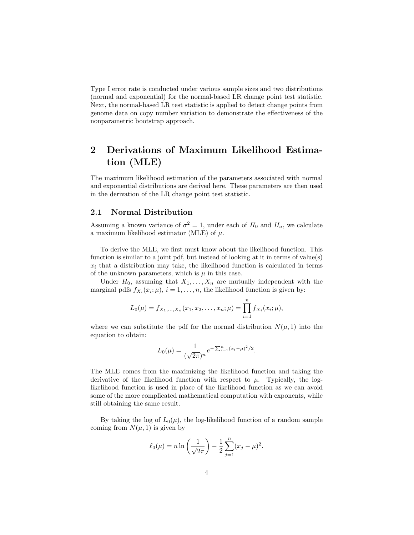Type I error rate is conducted under various sample sizes and two distributions (normal and exponential) for the normal-based LR change point test statistic. Next, the normal-based LR test statistic is applied to detect change points from genome data on copy number variation to demonstrate the effectiveness of the nonparametric bootstrap approach.

# 2 Derivations of Maximum Likelihood Estimation (MLE)

The maximum likelihood estimation of the parameters associated with normal and exponential distributions are derived here. These parameters are then used in the derivation of the LR change point test statistic.

#### 2.1 Normal Distribution

Assuming a known variance of  $\sigma^2 = 1$ , under each of  $H_0$  and  $H_a$ , we calculate a maximum likelihood estimator (MLE) of  $\mu$ .

To derive the MLE, we first must know about the likelihood function. This function is similar to a joint pdf, but instead of looking at it in terms of value(s)  $x_i$  that a distribution may take, the likelihood function is calculated in terms of the unknown parameters, which is  $\mu$  in this case.

Under  $H_0$ , assuming that  $X_1, \ldots, X_n$  are mutually independent with the marginal pdfs  $f_{X_i}(x_i; \mu)$ ,  $i = 1, ..., n$ , the likelihood function is given by:

$$
L_0(\mu) = f_{X_1,\ldots,X_n}(x_1,x_2,\ldots,x_n;\mu) = \prod_{i=1}^n f_{X_i}(x_i;\mu),
$$

where we can substitute the pdf for the normal distribution  $N(\mu, 1)$  into the equation to obtain:

$$
L_0(\mu) = \frac{1}{(\sqrt{2\pi})^n} e^{-\sum_{i=1}^n (x_i - \mu)^2/2}.
$$

The MLE comes from the maximizing the likelihood function and taking the derivative of the likelihood function with respect to  $\mu$ . Typically, the loglikelihood function is used in place of the likelihood function as we can avoid some of the more complicated mathematical computation with exponents, while still obtaining the same result.

By taking the log of  $L_0(\mu)$ , the log-likelihood function of a random sample coming from  $N(\mu, 1)$  is given by

$$
\ell_0(\mu) = n \ln \left( \frac{1}{\sqrt{2\pi}} \right) - \frac{1}{2} \sum_{j=1}^n (x_j - \mu)^2.
$$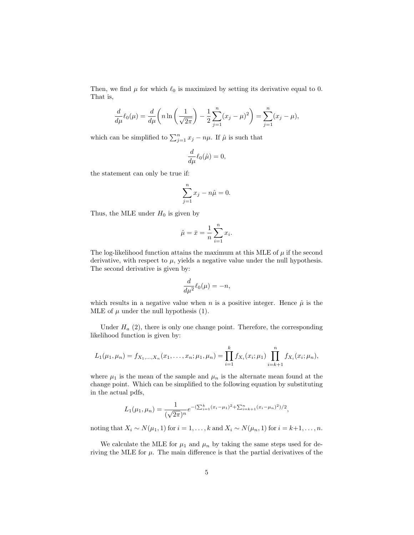Then, we find  $\mu$  for which  $\ell_0$  is maximized by setting its derivative equal to 0. That is,

$$
\frac{d}{d\mu}\ell_0(\mu) = \frac{d}{d\mu}\left(n\ln\left(\frac{1}{\sqrt{2\pi}}\right) - \frac{1}{2}\sum_{j=1}^n(x_j - \mu)^2\right) = \sum_{j=1}^n(x_j - \mu),
$$

which can be simplified to  $\sum_{j=1}^{n} x_j - n\mu$ . If  $\hat{\mu}$  is such that

$$
\frac{d}{d\mu}\ell_0(\hat{\mu})=0,
$$

the statement can only be true if:

$$
\sum_{j=1}^{n} x_j - n\hat{\mu} = 0.
$$

Thus, the MLE under  $H_0$  is given by

$$
\hat{\mu} = \bar{x} = \frac{1}{n} \sum_{i=1}^{n} x_i.
$$

The log-likelihood function attains the maximum at this MLE of  $\mu$  if the second derivative, with respect to  $\mu$ , yields a negative value under the null hypothesis. The second derivative is given by:

$$
\frac{d}{d\mu^2}\ell_0(\mu) = -n,
$$

which results in a negative value when n is a positive integer. Hence  $\hat{\mu}$  is the MLE of  $\mu$  under the null hypothesis (1).

Under  $H_a$  (2), there is only one change point. Therefore, the corresponding likelihood function is given by:

$$
L_1(\mu_1, \mu_n) = f_{X_1, \ldots, X_n}(x_1, \ldots, x_n; \mu_1, \mu_n) = \prod_{i=1}^k f_{X_i}(x_i; \mu_1) \prod_{i=k+1}^n f_{X_i}(x_i; \mu_n),
$$

where  $\mu_1$  is the mean of the sample and  $\mu_n$  is the alternate mean found at the change point. Which can be simplified to the following equation by substituting in the actual pdfs,

$$
L_1(\mu_1, \mu_n) = \frac{1}{(\sqrt{2\pi})^n} e^{-(\sum_{i=1}^k (x_i - \mu_1)^2 + \sum_{i=k+1}^n (x_i - \mu_n)^2)/2},
$$

noting that  $X_i \sim N(\mu_1, 1)$  for  $i = 1, \ldots, k$  and  $X_i \sim N(\mu_n, 1)$  for  $i = k+1, \ldots, n$ .

We calculate the MLE for  $\mu_1$  and  $\mu_n$  by taking the same steps used for deriving the MLE for  $\mu$ . The main difference is that the partial derivatives of the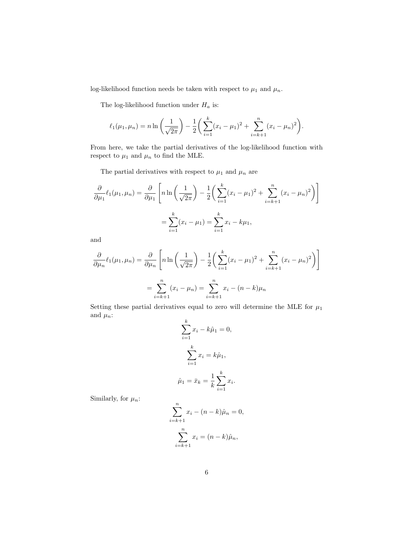log-likelihood function needs be taken with respect to  $\mu_1$  and  $\mu_n.$ 

The log-likelihood function under  $H_a$  is:

$$
\ell_1(\mu_1, \mu_n) = n \ln \left( \frac{1}{\sqrt{2\pi}} \right) - \frac{1}{2} \left( \sum_{i=1}^k (x_i - \mu_1)^2 + \sum_{i=k+1}^n (x_i - \mu_n)^2 \right).
$$

From here, we take the partial derivatives of the log-likelihood function with respect to  $\mu_1$  and  $\mu_n$  to find the MLE.

The partial derivatives with respect to  $\mu_1$  and  $\mu_n$  are

$$
\frac{\partial}{\partial \mu_1} \ell_1(\mu_1, \mu_n) = \frac{\partial}{\partial \mu_1} \left[ n \ln \left( \frac{1}{\sqrt{2\pi}} \right) - \frac{1}{2} \left( \sum_{i=1}^k (x_i - \mu_1)^2 + \sum_{i=k+1}^n (x_i - \mu_n)^2 \right) \right]
$$

$$
= \sum_{i=1}^k (x_i - \mu_1) = \sum_{i=1}^k x_i - k\mu_1,
$$

and

$$
\frac{\partial}{\partial \mu_n} \ell_1(\mu_1, \mu_n) = \frac{\partial}{\partial \mu_n} \left[ n \ln \left( \frac{1}{\sqrt{2\pi}} \right) - \frac{1}{2} \left( \sum_{i=1}^k (x_i - \mu_1)^2 + \sum_{i=k+1}^n (x_i - \mu_n)^2 \right) \right]
$$

$$
= \sum_{i=k+1}^n (x_i - \mu_n) = \sum_{i=k+1}^n x_i - (n - k)\mu_n
$$

Setting these partial derivatives equal to zero will determine the MLE for  $\mu_1$ and  $\mu_n$ : k

$$
\sum_{i=1}^{k} x_i - k\hat{\mu}_1 = 0,
$$
  

$$
\sum_{i=1}^{k} x_i = k\hat{\mu}_1,
$$
  

$$
\hat{\mu}_1 = \bar{x}_k = \frac{1}{k} \sum_{i=1}^{k} x_i.
$$

Similarly, for  $\mu_n$ :

$$
\sum_{i=k+1}^{n} x_i - (n-k)\hat{\mu}_n = 0,
$$
  

$$
\sum_{i=k+1}^{n} x_i = (n-k)\hat{\mu}_n,
$$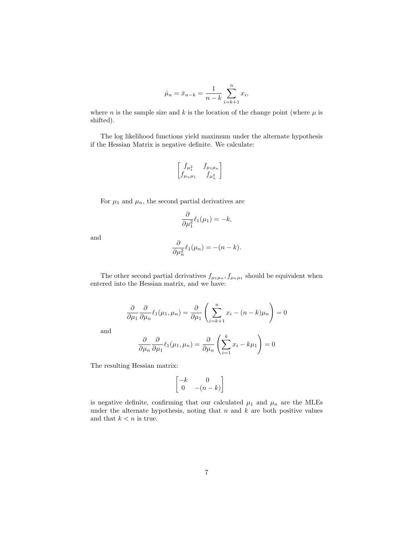$$
\hat{\mu}_n = \bar{x}_{n-k} = \frac{1}{n-k} \sum_{i=k+1}^n x_i,
$$

where *n* is the sample size and *k* is the location of the change point (where  $\mu$  is shifted).

The log likelihood functions yield maximum under the alternate hypothesis if the Hessian Matrix is negative definite. We calculate:

$$
\begin{bmatrix} f_{\mu_1^2} & f_{\mu_1\mu_n} \\ f_{\mu_n\mu_1} & f_{\mu_n^2} \end{bmatrix}
$$

For  $\mu_1$  and  $\mu_n$ , the second partial derivatives are

$$
\frac{\partial}{\partial \mu_1^2} \ell_1(\mu_1) = -k,
$$

and

$$
\frac{\partial}{\partial \mu_n^2} \ell_1(\mu_n) = -(n-k).
$$

The other second partial derivatives  $f_{\mu_1\mu_n}, f_{\mu_n\mu_1}$  should be equivalent when entered into the Hessian matrix, and we have:

$$
\frac{\partial}{\partial \mu_1} \frac{\partial}{\partial \mu_2} \ell_1(\mu_1, \mu_n) = \frac{\partial}{\partial \mu_1} \left( \sum_{i=k+1}^n x_i - (n-k)\mu_n \right) = 0
$$

and

$$
\frac{\partial}{\partial \mu_n} \frac{\partial}{\partial \mu_1} \ell_1(\mu_1, \mu_n) = \frac{\partial}{\partial \mu_n} \left( \sum_{i=1}^k x_i - k \mu_1 \right) = 0
$$

The resulting Hessian matrix:

$$
\begin{bmatrix} -k & 0\\ 0 & -(n-k) \end{bmatrix}
$$

is negative definite, confirming that our calculated  $\mu_1$  and  $\mu_n$  are the MLEs under the alternate hypothesis, noting that  $n$  and  $k$  are both positive values and that  $k < n$  is true.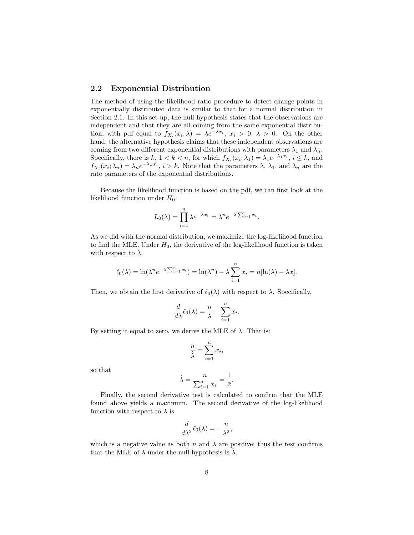#### 2.2 Exponential Distribution

The method of using the likelihood ratio procedure to detect change points in exponentially distributed data is similar to that for a normal distribution in Section 2.1. In this set-up, the null hypothesis states that the observations are independent and that they are all coming from the same exponential distribution, with pdf equal to  $f_{X_i}(x_i; \lambda) = \lambda e^{-\lambda x_i}, x_i > 0, \lambda > 0$ . On the other hand, the alternative hypothesis claims that these independent observations are coming from two different exponential distributions with parameters  $\lambda_1$  and  $\lambda_n$ . Specifically, there is  $k, 1 < k < n$ , for which  $f_{X_i}(x_i; \lambda_1) = \lambda_1 e^{-\lambda_1 x_i}$ ,  $i \leq k$ , and  $f_{X_i}(x_i; \lambda_n) = \lambda_n e^{-\lambda_n x_i}, i > k$ . Note that the parameters  $\lambda, \lambda_1$ , and  $\lambda_n$  are the rate parameters of the exponential distributions.

Because the likelihood function is based on the pdf, we can first look at the likelihood function under  $H_0$ :

$$
L_0(\lambda) = \prod_{i=1}^n \lambda e^{-\lambda x_i} = \lambda^n e^{-\lambda \sum_{i=1}^n x_i}.
$$

As we did with the normal distribution, we maximize the log-likelihood function to find the MLE. Under  $H_0$ , the derivative of the log-likelihood function is taken with respect to  $\lambda$ .

$$
\ell_0(\lambda) = \ln(\lambda^n e^{-\lambda \sum_{i=1}^n x_i}) = \ln(\lambda^n) - \lambda \sum_{i=1}^n x_i = n[\ln(\lambda) - \lambda \bar{x}].
$$

Then, we obtain the first derivative of  $\ell_0(\lambda)$  with respect to  $\lambda$ . Specifically,

$$
\frac{d}{d\lambda}\ell_0(\lambda) = \frac{n}{\lambda} - \sum_{i=1}^n x_i.
$$

By setting it equal to zero, we derive the MLE of  $\lambda$ . That is:

$$
\frac{n}{\hat{\lambda}} = \sum_{i=1}^{n} x_i,
$$

so that

$$
\hat{\lambda} = \frac{n}{\sum_{i=1}^{n} x_i} = \frac{1}{\bar{x}}.
$$

Finally, the second derivative test is calculated to confirm that the MLE found above yields a maximum. The second derivative of the log-likelihood function with respect to  $\lambda$  is

$$
\frac{d}{d\lambda^2}\ell_0(\lambda) = -\frac{n}{\lambda^2},
$$

which is a negative value as both n and  $\lambda$  are positive; thus the test confirms that the MLE of  $\lambda$  under the null hypothesis is  $\lambda$ .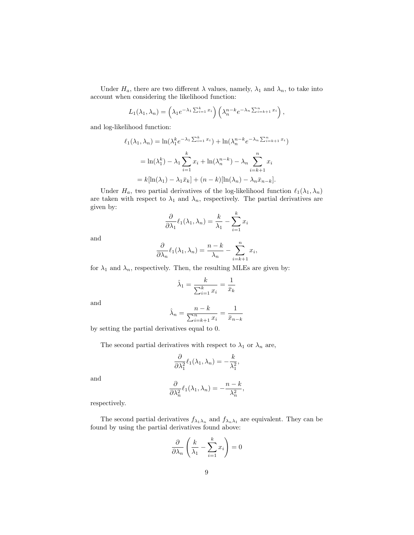Under  $H_a$ , there are two different  $\lambda$  values, namely,  $\lambda_1$  and  $\lambda_n$ , to take into account when considering the likelihood function:

$$
L_1(\lambda_1, \lambda_n) = \left(\lambda_1 e^{-\lambda_1 \sum_{i=1}^k x_i}\right) \left(\lambda_n^{n-k} e^{-\lambda_n \sum_{i=k+1}^n x_i}\right),
$$

and log-likelihood function:

$$
\ell_1(\lambda_1, \lambda_n) = \ln(\lambda_1^k e^{-\lambda_1 \sum_{i=1}^k x_i}) + \ln(\lambda_n^{n-k} e^{-\lambda_n \sum_{i=k+1}^n x_i})
$$

$$
= \ln(\lambda_1^k) - \lambda_1 \sum_{i=1}^k x_i + \ln(\lambda_n^{n-k}) - \lambda_n \sum_{i=k+1}^n x_i
$$

$$
= k[\ln(\lambda_1) - \lambda_1 \bar{x}_k] + (n-k)[\ln(\lambda_n) - \lambda_n \bar{x}_{n-k}].
$$

Under  $H_a$ , two partial derivatives of the log-likelihood function  $\ell_1(\lambda_1, \lambda_n)$ are taken with respect to  $\lambda_1$  and  $\lambda_n$ , respectively. The partial derivatives are given by:

$$
\frac{\partial}{\partial \lambda_1} \ell_1(\lambda_1, \lambda_n) = \frac{k}{\lambda_1} - \sum_{i=1}^k x_i
$$

and

$$
\frac{\partial}{\partial \lambda_n} \ell_1(\lambda_1, \lambda_n) = \frac{n-k}{\lambda_n} - \sum_{i=k+1}^n x_i,
$$

for  $\lambda_1$  and  $\lambda_n$ , respectively. Then, the resulting MLEs are given by:

$$
\hat{\lambda}_1 = \frac{k}{\sum_{i=1}^k x_i} = \frac{1}{\bar{x}_k}
$$

and

$$
\hat{\lambda}_n = \frac{n-k}{\sum_{i=k+1}^n x_i} = \frac{1}{\bar{x}_{n-k}}
$$

by setting the partial derivatives equal to 0.

The second partial derivatives with respect to  $\lambda_1$  or  $\lambda_n$  are,

$$
\frac{\partial}{\partial \lambda_1^2} \ell_1(\lambda_1, \lambda_n) = -\frac{k}{\lambda_1^2},
$$

and

$$
\frac{\partial}{\partial \lambda_n^2} \ell_1(\lambda_1, \lambda_n) = -\frac{n-k}{\lambda_n^2},
$$

respectively.

The second partial derivatives  $f_{\lambda_1\lambda_n}$  and  $f_{\lambda_n\lambda_1}$  are equivalent. They can be found by using the partial derivatives found above:

$$
\frac{\partial}{\partial \lambda_n} \left( \frac{k}{\lambda_1} - \sum_{i=1}^k x_i \right) = 0
$$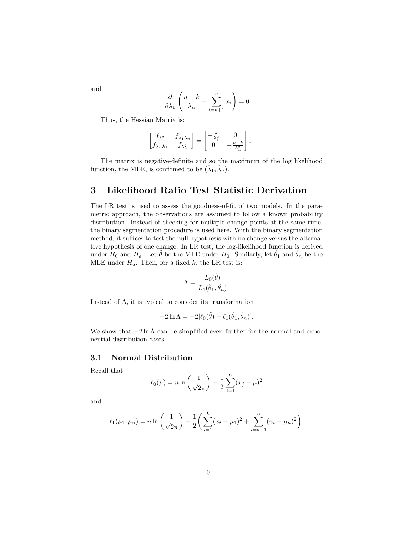$$
\frac{\partial}{\partial \lambda_1} \left( \frac{n-k}{\lambda_n} - \sum_{i=k+1}^n x_i \right) = 0
$$

Thus, the Hessian Matrix is:

$$
\begin{bmatrix} f_{\lambda_1^2} & f_{\lambda_1 \lambda_n} \\ f_{\lambda_n \lambda_1} & f_{\lambda_n^2} \end{bmatrix} = \begin{bmatrix} -\frac{k}{\lambda_1^2} & 0 \\ 0 & -\frac{n-k}{\lambda_n^2} \end{bmatrix}.
$$

The matrix is negative-definite and so the maximum of the log likelihood function, the MLE, is confirmed to be  $(\hat{\lambda}_1, \hat{\lambda}_n)$ .

## 3 Likelihood Ratio Test Statistic Derivation

The LR test is used to assess the goodness-of-fit of two models. In the parametric approach, the observations are assumed to follow a known probability distribution. Instead of checking for multiple change points at the same time, the binary segmentation procedure is used here. With the binary segmentation method, it suffices to test the null hypothesis with no change versus the alternative hypothesis of one change. In LR test, the log-likelihood function is derived under  $H_0$  and  $H_a$ . Let  $\theta$  be the MLE under  $H_0$ . Similarly, let  $\theta_1$  and  $\theta_n$  be the MLE under  $H_a$ . Then, for a fixed k, the LR test is:

$$
\Lambda = \frac{L_0(\hat{\theta})}{L_1(\hat{\theta}_1, \hat{\theta}_n)}.
$$

Instead of  $\Lambda$ , it is typical to consider its transformation

$$
-2\ln \Lambda = -2[\ell_0(\hat{\theta}) - \ell_1(\hat{\theta}_1, \hat{\theta}_n)].
$$

We show that  $-2 \ln \Lambda$  can be simplified even further for the normal and exponential distribution cases.

#### 3.1 Normal Distribution

Recall that

$$
\ell_0(\mu) = n \ln \left( \frac{1}{\sqrt{2\pi}} \right) - \frac{1}{2} \sum_{j=1}^n (x_j - \mu)^2
$$

and

$$
\ell_1(\mu_1, \mu_n) = n \ln \left( \frac{1}{\sqrt{2\pi}} \right) - \frac{1}{2} \left( \sum_{i=1}^k (x_i - \mu_1)^2 + \sum_{i=k+1}^n (x_i - \mu_n)^2 \right).
$$

and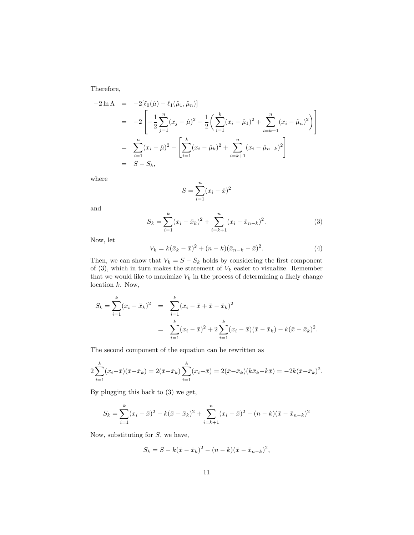Therefore,

$$
-2\ln\Lambda = -2[\ell_0(\hat{\mu}) - \ell_1(\hat{\mu}_1, \hat{\mu}_n)]
$$
  
\n
$$
= -2\left[-\frac{1}{2}\sum_{j=1}^n (x_j - \hat{\mu})^2 + \frac{1}{2}\left(\sum_{i=1}^k (x_i - \hat{\mu}_1)^2 + \sum_{i=k+1}^n (x_i - \hat{\mu}_n)^2\right)\right]
$$
  
\n
$$
= \sum_{i=1}^n (x_i - \hat{\mu})^2 - \left[\sum_{i=1}^k (x_i - \hat{\mu}_k)^2 + \sum_{i=k+1}^n (x_i - \hat{\mu}_{n-k})^2\right]
$$
  
\n
$$
= S - S_k,
$$

where

$$
S = \sum_{i=1}^{n} (x_i - \bar{x})^2
$$

and

$$
S_k = \sum_{i=1}^k (x_i - \bar{x}_k)^2 + \sum_{i=k+1}^n (x_i - \bar{x}_{n-k})^2.
$$
 (3)

Now, let

$$
V_k = k(\bar{x}_k - \bar{x})^2 + (n - k)(\bar{x}_{n-k} - \bar{x})^2.
$$
 (4)

Then, we can show that  $V_k = S - S_k$  holds by considering the first component of (3), which in turn makes the statement of  $V_k$  easier to visualize. Remember that we would like to maximize  $V_k$  in the process of determining a likely change location k. Now,

$$
S_k = \sum_{i=1}^k (x_i - \bar{x}_k)^2 = \sum_{i=1}^k (x_i - \bar{x} + \bar{x} - \bar{x}_k)^2
$$
  
= 
$$
\sum_{i=1}^k (x_i - \bar{x})^2 + 2 \sum_{i=1}^k (x_i - \bar{x})(\bar{x} - \bar{x}_k) - k(\bar{x} - \bar{x}_k)^2.
$$

The second component of the equation can be rewritten as

$$
2\sum_{i=1}^{k}(x_i-\bar{x})(\bar{x}-\bar{x}_k) = 2(\bar{x}-\bar{x}_k)\sum_{i=1}^{k}(x_i-\bar{x}) = 2(\bar{x}-\bar{x}_k)(k\bar{x}_k-k\bar{x}) = -2k(\bar{x}-\bar{x}_k)^2.
$$

By plugging this back to (3) we get,

$$
S_k = \sum_{i=1}^k (x_i - \bar{x})^2 - k(\bar{x} - \bar{x}_k)^2 + \sum_{i=k+1}^n (x_i - \bar{x})^2 - (n - k)(\bar{x} - \bar{x}_{n-k})^2
$$

Now, substituting for  $S$ , we have,

$$
S_k = S - k(\bar{x} - \bar{x}_k)^2 - (n - k)(\bar{x} - \bar{x}_{n-k})^2,
$$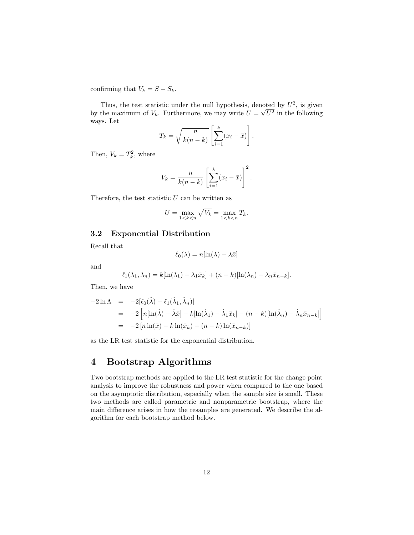confirming that  $V_k = S - S_k$ .

Thus, the test statistic under the null hypothesis, denoted by  $U^2$ , is given by the maximum of  $V_k$ . Furthermore, we may write  $U =$ √  $U^2$  in the following ways. Let #

$$
T_k = \sqrt{\frac{n}{k(n-k)}} \left[ \sum_{i=1}^k (x_i - \bar{x}) \right].
$$

Then,  $V_k = T_k^2$ , where

$$
V_k = \frac{n}{k(n-k)} \left[ \sum_{i=1}^k (x_i - \bar{x}) \right]^2.
$$

Therefore, the test statistic  $U$  can be written as

$$
U = \max_{1 < k < n} \sqrt{V_k} = \max_{1 < k < n} T_k.
$$

#### 3.2 Exponential Distribution

Recall that

$$
\ell_0(\lambda) = n[\ln(\lambda) - \lambda \bar{x}]
$$

and

$$
\ell_1(\lambda_1, \lambda_n) = k[\ln(\lambda_1) - \lambda_1 \bar{x}_k] + (n - k)[\ln(\lambda_n) - \lambda_n \bar{x}_{n-k}].
$$

Then, we have

$$
-2\ln \Lambda = -2[\ell_0(\hat{\lambda}) - \ell_1(\hat{\lambda}_1, \hat{\lambda}_n)]
$$
  
= -2 [n[\ln(\hat{\lambda}) - \hat{\lambda}\bar{x}] - k[\ln(\hat{\lambda}\_1) - \hat{\lambda}\_1\bar{x}\_k] - (n - k)[\ln(\hat{\lambda}\_n) - \hat{\lambda}\_n\bar{x}\_{n-k}]  
= -2[n\ln(\bar{x}) - k\ln(\bar{x}\_k) - (n - k)\ln(\bar{x}\_{n-k})]

as the LR test statistic for the exponential distribution.

# 4 Bootstrap Algorithms

Two bootstrap methods are applied to the LR test statistic for the change point analysis to improve the robustness and power when compared to the one based on the asymptotic distribution, especially when the sample size is small. These two methods are called parametric and nonparametric bootstrap, where the main difference arises in how the resamples are generated. We describe the algorithm for each bootstrap method below.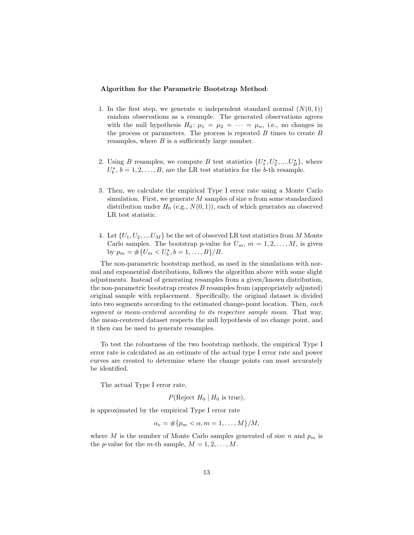#### Algorithm for the Parametric Bootstrap Method:

- 1. In the first step, we generate n independent standard normal  $(N(0, 1))$ random observations as a resample. The generated observations agrees with the null hypothesis  $H_0: \mu_1 = \mu_2 = \cdots = \mu_n$ , i.e., no changes in the process or parameters. The process is repeated  $B$  times to create  $B$ resamples, where  $B$  is a sufficiently large number.
- 2. Using B resamples, we compute B test statistics  $\{U_1^{\star}, U_2^{\star}, \dots, U_B^{\star}\},\$  where  $U_b^{\star}$ ,  $b = 1, 2, ..., B$ , are the LR test statistics for the b-th resample.
- 3. Then, we calculate the empirical Type I error rate using a Monte Carlo simulation. First, we generate  $M$  samples of size  $n$  from some standardized distribution under  $H_0$  (e.g.,  $N(0, 1)$ ), each of which generates an observed LR test statistic.
- 4. Let  $\{U_1, U_2, \ldots, U_M\}$  be the set of observed LR test statistics from M Monte Carlo samples. The bootstrap p-value for  $U_m$ ,  $m = 1, 2, \ldots, M$ , is given by  $p_m = #\{U_m < U_b^{\star}, b = 1, \ldots, B\}/B.$

The non-parametric bootstrap method, as used in the simulations with normal and exponential distributions, follows the algorithm above with some slight adjustments. Instead of generating resamples from a given/known distribution, the non-parametric bootstrap creates  $B$  resamples from (appropriately adjusted) original sample with replacement. Specifically, the original dataset is divided into two segments according to the estimated change-point location. Then, each segment is mean-centered according to its respective sample mean. That way, the mean-centered dataset respects the null hypothesis of no change point, and it then can be used to generate resamples.

To test the robustness of the two bootstrap methods, the empirical Type I error rate is calculated as an estimate of the actual type I error rate and power curves are created to determine where the change points can most accurately be identified.

The actual Type I error rate,

$$
P(\text{Reject } H_0 \mid H_0 \text{ is true}),
$$

is approximated by the empirical Type I error rate

$$
\alpha_e = \#\{p_m < \alpha, m = 1, \dots, M\}/M,
$$

where M is the number of Monte Carlo samples generated of size n and  $p_m$  is the *p*-value for the *m*-th sample,  $M = 1, 2, ..., M$ .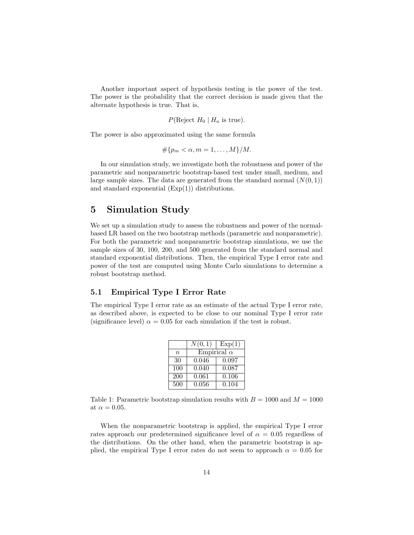Another important aspect of hypothesis testing is the power of the test. The power is the probability that the correct decision is made given that the alternate hypothesis is true. That is,

$$
P(\text{Reject } H_0 \mid H_a \text{ is true}).
$$

The power is also approximated using the same formula

$$
\#\{p_m < \alpha, m = 1, \ldots, M\}/M.
$$

In our simulation study, we investigate both the robustness and power of the parametric and nonparametric bootstrap-based test under small, medium, and large sample sizes. The data are generated from the standard normal  $(N(0, 1))$ and standard exponential  $(Exp(1))$  distributions.

### 5 Simulation Study

We set up a simulation study to assess the robustness and power of the normalbased LR based on the two bootstrap methods (parametric and nonparametric). For both the parametric and nonparametric bootstrap simulations, we use the sample sizes of 30, 100, 200, and 500 generated from the standard normal and standard exponential distributions. Then, the empirical Type I error rate and power of the test are computed using Monte Carlo simulations to determine a robust bootstrap method.

#### 5.1 Empirical Type I Error Rate

The empirical Type I error rate as an estimate of the actual Type I error rate, as described above, is expected to be close to our nominal Type I error rate (significance level)  $\alpha = 0.05$  for each simulation if the test is robust.

|                  | N(0,1)             | Exp(1) |
|------------------|--------------------|--------|
| $\boldsymbol{n}$ | Empirical $\alpha$ |        |
| 30               | 0.046              | 0.097  |
| 100              | 0.040              | 0.087  |
| 200              | 0.061              | 0.106  |
| 500              | 0.056              | 0.104  |

Table 1: Parametric bootstrap simulation results with  $B = 1000$  and  $M = 1000$ at  $\alpha = 0.05$ .

When the nonparametric bootstrap is applied, the empirical Type I error rates approach our predetermined significance level of  $\alpha = 0.05$  regardless of the distributions. On the other hand, when the parametric bootstrap is applied, the empirical Type I error rates do not seem to approach  $\alpha = 0.05$  for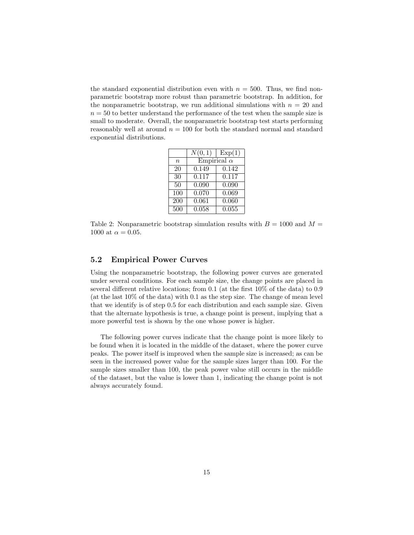the standard exponential distribution even with  $n = 500$ . Thus, we find nonparametric bootstrap more robust than parametric bootstrap. In addition, for the nonparametric bootstrap, we run additional simulations with  $n = 20$  and  $n = 50$  to better understand the performance of the test when the sample size is small to moderate. Overall, the nonparametric bootstrap test starts performing reasonably well at around  $n = 100$  for both the standard normal and standard exponential distributions.

|                 | N(0,1)             | Exp(1) |
|-----------------|--------------------|--------|
| $\it{n}$        | Empirical $\alpha$ |        |
| $\overline{20}$ | 0.149              | 0.142  |
| 30              | 0.117              | 0.117  |
| 50              | 0.090              | 0.090  |
| 100             | 0.070              | 0.069  |
| 200             | 0.061              | 0.060  |
| 500             | 0.058              | 0.055  |

Table 2: Nonparametric bootstrap simulation results with  $B = 1000$  and  $M =$ 1000 at  $\alpha = 0.05$ .

#### 5.2 Empirical Power Curves

Using the nonparametric bootstrap, the following power curves are generated under several conditions. For each sample size, the change points are placed in several different relative locations; from 0.1 (at the first 10% of the data) to 0.9 (at the last 10% of the data) with 0.1 as the step size. The change of mean level that we identify is of step 0.5 for each distribution and each sample size. Given that the alternate hypothesis is true, a change point is present, implying that a more powerful test is shown by the one whose power is higher.

The following power curves indicate that the change point is more likely to be found when it is located in the middle of the dataset, where the power curve peaks. The power itself is improved when the sample size is increased; as can be seen in the increased power value for the sample sizes larger than 100. For the sample sizes smaller than 100, the peak power value still occurs in the middle of the dataset, but the value is lower than 1, indicating the change point is not always accurately found.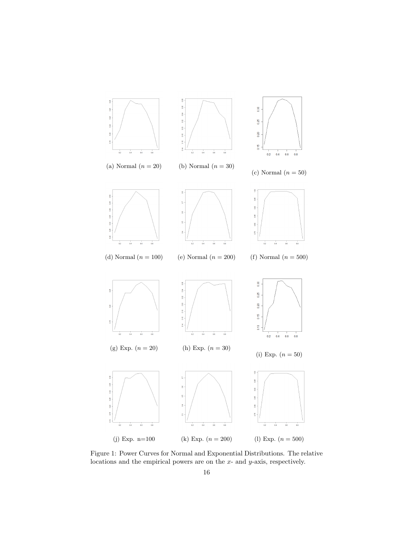

Figure 1: Power Curves for Normal and Exponential Distributions. The relative locations and the empirical powers are on the x- and y-axis, respectively.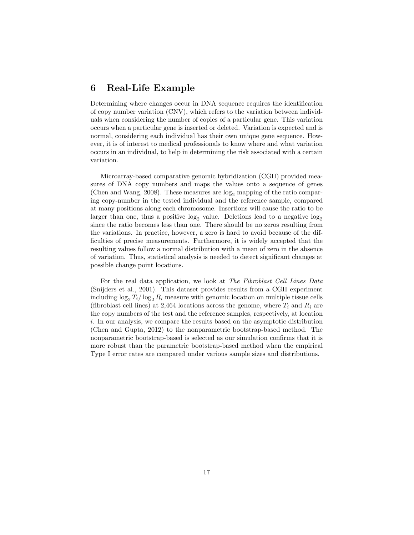## 6 Real-Life Example

Determining where changes occur in DNA sequence requires the identification of copy number variation (CNV), which refers to the variation between individuals when considering the number of copies of a particular gene. This variation occurs when a particular gene is inserted or deleted. Variation is expected and is normal, considering each individual has their own unique gene sequence. However, it is of interest to medical professionals to know where and what variation occurs in an individual, to help in determining the risk associated with a certain variation.

Microarray-based comparative genomic hybridization (CGH) provided measures of DNA copy numbers and maps the values onto a sequence of genes (Chen and Wang, 2008). These measures are  $log_2$  mapping of the ratio comparing copy-number in the tested individual and the reference sample, compared at many positions along each chromosome. Insertions will cause the ratio to be larger than one, thus a positive  $log_2$  value. Deletions lead to a negative  $log_2$ since the ratio becomes less than one. There should be no zeros resulting from the variations. In practice, however, a zero is hard to avoid because of the difficulties of precise measurements. Furthermore, it is widely accepted that the resulting values follow a normal distribution with a mean of zero in the absence of variation. Thus, statistical analysis is needed to detect significant changes at possible change point locations.

For the real data application, we look at The Fibroblast Cell Lines Data (Snijders et al., 2001). This dataset provides results from a CGH experiment including  $\log_2 T_i / \log_2 R_i$  measure with genomic location on multiple tissue cells (fibroblast cell lines) at 2,464 locations across the genome, where  $T_i$  and  $R_i$  are the copy numbers of the test and the reference samples, respectively, at location i. In our analysis, we compare the results based on the asymptotic distribution (Chen and Gupta, 2012) to the nonparametric bootstrap-based method. The nonparametric bootstrap-based is selected as our simulation confirms that it is more robust than the parametric bootstrap-based method when the empirical Type I error rates are compared under various sample sizes and distributions.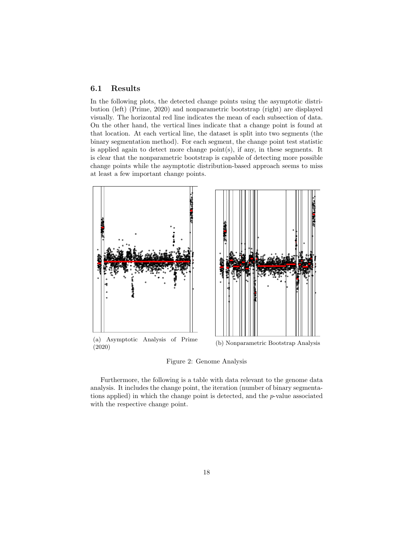#### 6.1 Results

In the following plots, the detected change points using the asymptotic distribution (left) (Prime, 2020) and nonparametric bootstrap (right) are displayed visually. The horizontal red line indicates the mean of each subsection of data. On the other hand, the vertical lines indicate that a change point is found at that location. At each vertical line, the dataset is split into two segments (the binary segmentation method). For each segment, the change point test statistic is applied again to detect more change  $point(s)$ , if any, in these segments. It is clear that the nonparametric bootstrap is capable of detecting more possible change points while the asymptotic distribution-based approach seems to miss at least a few important change points.



Figure 2: Genome Analysis

Furthermore, the following is a table with data relevant to the genome data analysis. It includes the change point, the iteration (number of binary segmentations applied) in which the change point is detected, and the p-value associated with the respective change point.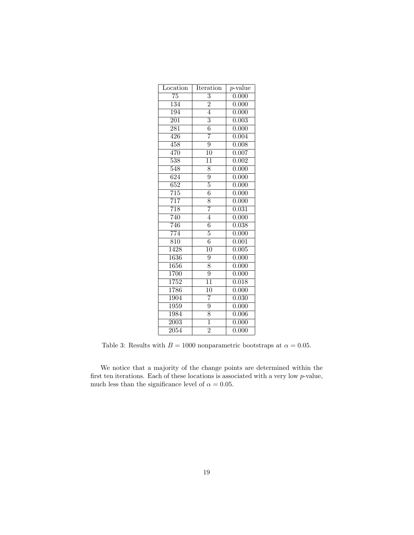| Location          | Iteration       | $p$ -value |
|-------------------|-----------------|------------|
| $\overline{75}$   | $\overline{3}$  | 0.000      |
| 134               | $\overline{2}$  | 0.000      |
| 194               | $\overline{4}$  | 0.000      |
| $\overline{201}$  | $\overline{3}$  | 0.003      |
| $\overline{281}$  | $\overline{6}$  | 0.000      |
| 426               | 7               | 0.004      |
| $\overline{458}$  | $\overline{9}$  | 0.008      |
| 470               | 10              | 0.007      |
| $\overline{538}$  | $\overline{11}$ | 0.002      |
| 548               | $\overline{8}$  | 0.000      |
| $\overline{624}$  | $\overline{9}$  | 0.000      |
| $\overline{652}$  | $\overline{5}$  | 0.000      |
| $\overline{715}$  | $\overline{6}$  | 0.000      |
| $\overline{717}$  | $\overline{8}$  | 0.000      |
| 718               | 7               | 0.031      |
| 740               | $\overline{4}$  | 0.000      |
| 746               | $\overline{6}$  | 0.038      |
| $\overline{774}$  | $\overline{5}$  | 0.000      |
| $\overline{810}$  | $\overline{6}$  | 0.001      |
| $\overline{1428}$ | $\overline{10}$ | 0.005      |
| 1636              | $\overline{9}$  | 0.000      |
| 1656              | $\overline{8}$  | 0.000      |
| 1700              | $\overline{9}$  | 0.000      |
| 1752              | $\overline{11}$ | 0.018      |
| 1786              | 10              | 0.000      |
| 1904              | $\overline{7}$  | 0.030      |
| 1959              | $\overline{9}$  | 0.000      |
| 1984              | $\overline{8}$  | 0.006      |
| $\overline{2003}$ | $\overline{1}$  | 0.000      |
| 2054              | $\overline{2}$  | 0.000      |

Table 3: Results with  $B = 1000$  nonparametric bootstraps at  $\alpha = 0.05$ .

We notice that a majority of the change points are determined within the first ten iterations. Each of these locations is associated with a very low p-value, much less than the significance level of  $\alpha=0.05.$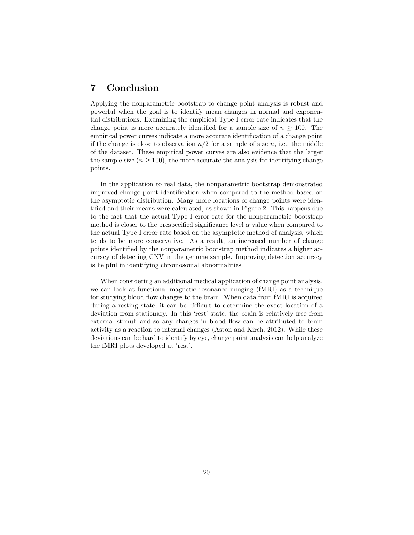### 7 Conclusion

Applying the nonparametric bootstrap to change point analysis is robust and powerful when the goal is to identify mean changes in normal and exponential distributions. Examining the empirical Type I error rate indicates that the change point is more accurately identified for a sample size of  $n \geq 100$ . The empirical power curves indicate a more accurate identification of a change point if the change is close to observation  $n/2$  for a sample of size n, i.e., the middle of the dataset. These empirical power curves are also evidence that the larger the sample size  $(n \geq 100)$ , the more accurate the analysis for identifying change points.

In the application to real data, the nonparametric bootstrap demonstrated improved change point identification when compared to the method based on the asymptotic distribution. Many more locations of change points were identified and their means were calculated, as shown in Figure 2. This happens due to the fact that the actual Type I error rate for the nonparametric bootstrap method is closer to the prespecified significance level  $\alpha$  value when compared to the actual Type I error rate based on the asymptotic method of analysis, which tends to be more conservative. As a result, an increased number of change points identified by the nonparametric bootstrap method indicates a higher accuracy of detecting CNV in the genome sample. Improving detection accuracy is helpful in identifying chromosomal abnormalities.

When considering an additional medical application of change point analysis, we can look at functional magnetic resonance imaging (fMRI) as a technique for studying blood flow changes to the brain. When data from fMRI is acquired during a resting state, it can be difficult to determine the exact location of a deviation from stationary. In this 'rest' state, the brain is relatively free from external stimuli and so any changes in blood flow can be attributed to brain activity as a reaction to internal changes (Aston and Kirch, 2012). While these deviations can be hard to identify by eye, change point analysis can help analyze the fMRI plots developed at 'rest'.